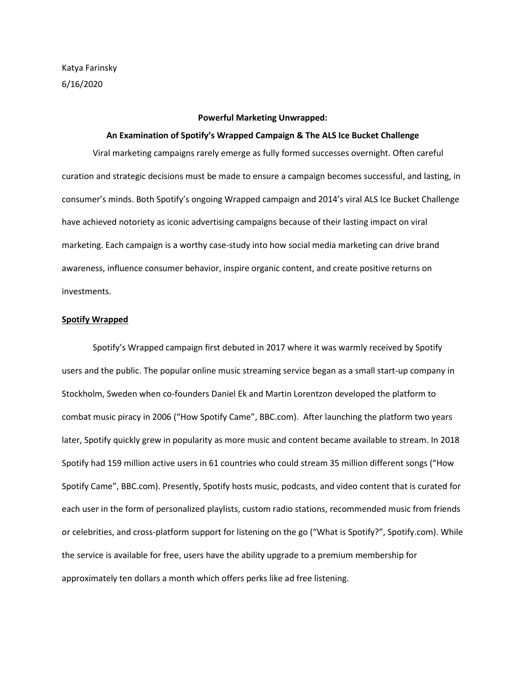## **Powerful Marketing Unwrapped:**

### **An Examination of Spotify's Wrapped Campaign & The ALS Ice Bucket Challenge**

Viral marketing campaigns rarely emerge as fully formed successes overnight. Often careful curation and strategic decisions must be made to ensure a campaign becomes successful, and lasting, in consumer's minds. Both Spotify's ongoing Wrapped campaign and 2014's viral ALS Ice Bucket Challenge have achieved notoriety as iconic advertising campaigns because of their lasting impact on viral marketing. Each campaign is a worthy case-study into how social media marketing can drive brand awareness, influence consumer behavior, inspire organic content, and create positive returns on investments.

## **Spotify Wrapped**

Spotify's Wrapped campaign first debuted in 2017 where it was warmly received by Spotify users and the public. The popular online music streaming service began as a small start-up company in Stockholm, Sweden when co-founders Daniel Ek and Martin Lorentzon developed the platform to combat music piracy in 2006 ("How Spotify Came", BBC.com). After launching the platform two years later, Spotify quickly grew in popularity as more music and content became available to stream. In 2018 Spotify had 159 million active users in 61 countries who could stream 35 million different songs ("How Spotify Came", BBC.com). Presently, Spotify hosts music, podcasts, and video content that is curated for each user in the form of personalized playlists, custom radio stations, recommended music from friends or celebrities, and cross-platform support for listening on the go ("What is Spotify?", Spotify.com). While the service is available for free, users have the ability upgrade to a premium membership for approximately ten dollars a month which offers perks like ad free listening.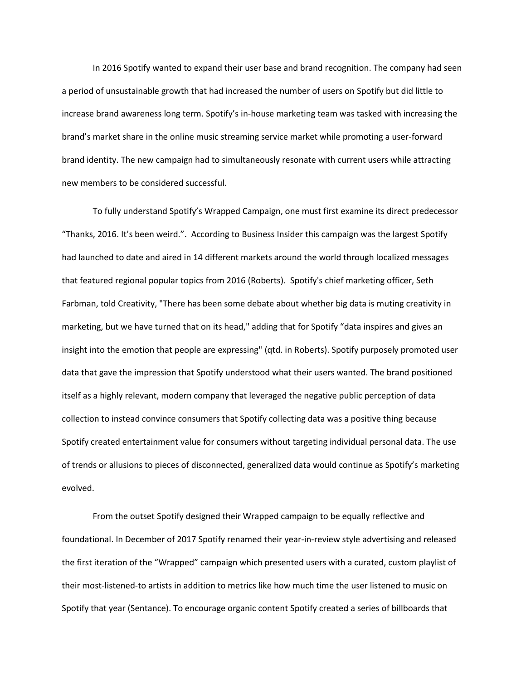In 2016 Spotify wanted to expand their user base and brand recognition. The company had seen a period of unsustainable growth that had increased the number of users on Spotify but did little to increase brand awareness long term. Spotify's in-house marketing team was tasked with increasing the brand's market share in the online music streaming service market while promoting a user-forward brand identity. The new campaign had to simultaneously resonate with current users while attracting new members to be considered successful.

To fully understand Spotify's Wrapped Campaign, one must first examine its direct predecessor "Thanks, 2016. It's been weird.". According to Business Insider this campaign was the largest Spotify had launched to date and aired in 14 different markets around the world through localized messages that featured regional popular topics from 2016 (Roberts). Spotify's chief marketing officer, Seth Farbman, told Creativity, "There has been some debate about whether big data is muting creativity in marketing, but we have turned that on its head," adding that for Spotify "data inspires and gives an insight into the emotion that people are expressing" (qtd. in Roberts). Spotify purposely promoted user data that gave the impression that Spotify understood what their users wanted. The brand positioned itself as a highly relevant, modern company that leveraged the negative public perception of data collection to instead convince consumers that Spotify collecting data was a positive thing because Spotify created entertainment value for consumers without targeting individual personal data. The use of trends or allusions to pieces of disconnected, generalized data would continue as Spotify's marketing evolved.

From the outset Spotify designed their Wrapped campaign to be equally reflective and foundational. In December of 2017 Spotify renamed their year-in-review style advertising and released the first iteration of the "Wrapped" campaign which presented users with a curated, custom playlist of their most-listened-to artists in addition to metrics like how much time the user listened to music on Spotify that year (Sentance). To encourage organic content Spotify created a series of billboards that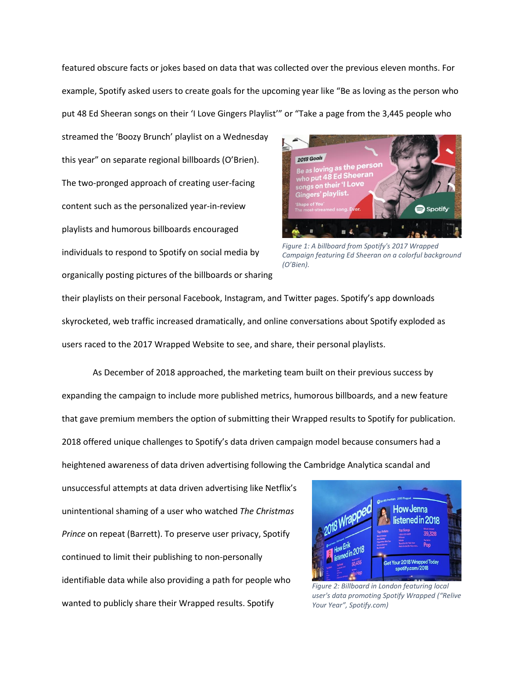featured obscure facts or jokes based on data that was collected over the previous eleven months. For example, Spotify asked users to create goals for the upcoming year like "Be as loving as the person who put 48 Ed Sheeran songs on their 'I Love Gingers Playlist'" or "Take a page from the 3,445 people who

streamed the 'Boozy Brunch' playlist on a Wednesday this year" on separate regional billboards (O'Brien). The two-pronged approach of creating user-facing content such as the personalized year-in-review playlists and humorous billboards encouraged individuals to respond to Spotify on social media by organically posting pictures of the billboards or sharing



*Figure 1: A billboard from Spotify's 2017 Wrapped Campaign featuring Ed Sheeran on a colorful background (O'Bien).*

their playlists on their personal Facebook, Instagram, and Twitter pages. Spotify's app downloads skyrocketed, web traffic increased dramatically, and online conversations about Spotify exploded as users raced to the 2017 Wrapped Website to see, and share, their personal playlists.

As December of 2018 approached, the marketing team built on their previous success by expanding the campaign to include more published metrics, humorous billboards, and a new feature that gave premium members the option of submitting their Wrapped results to Spotify for publication. 2018 offered unique challenges to Spotify's data driven campaign model because consumers had a heightened awareness of data driven advertising following the Cambridge Analytica scandal and

unsuccessful attempts at data driven advertising like Netflix's unintentional shaming of a user who watched *The Christmas Prince* on repeat (Barrett). To preserve user privacy, Spotify continued to limit their publishing to non-personally identifiable data while also providing a path for people who wanted to publicly share their Wrapped results. Spotify



*Figure 2: Billboard in London featuring local user's data promoting Spotify Wrapped ("Relive Your Year", Spotify.com)*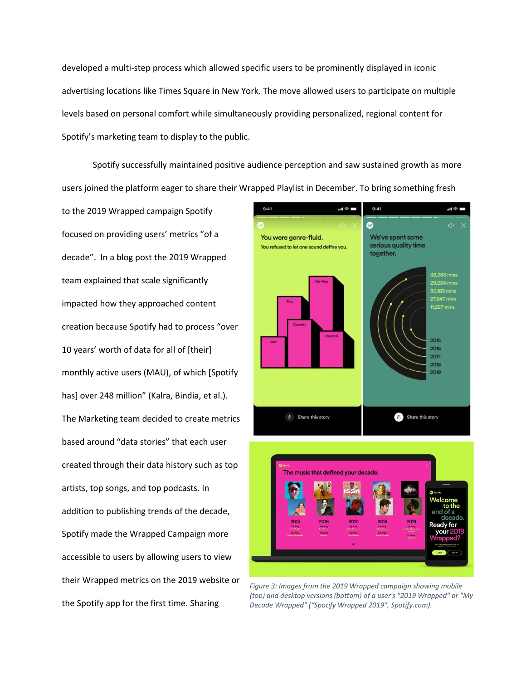developed a multi-step process which allowed specific users to be prominently displayed in iconic advertising locations like Times Square in New York. The move allowed users to participate on multiple levels based on personal comfort while simultaneously providing personalized, regional content for Spotify's marketing team to display to the public.

Spotify successfully maintained positive audience perception and saw sustained growth as more users joined the platform eager to share their Wrapped Playlist in December. To bring something fresh

to the 2019 Wrapped campaign Spotify focused on providing users' metrics "of a decade". In a blog post the 2019 Wrapped team explained that scale significantly impacted how they approached content creation because Spotify had to process "over 10 years' worth of data for all of [their] monthly active users (MAU), of which [Spotify has] over 248 million" (Kalra, Bindia, et al.). The Marketing team decided to create metrics based around "data stories" that each user created through their data history such as top artists, top songs, and top podcasts. In addition to publishing trends of the decade, Spotify made the Wrapped Campaign more accessible to users by allowing users to view their Wrapped metrics on the 2019 website or the Spotify app for the first time. Sharing



*Figure 3: Images from the 2019 Wrapped campaign showing mobile (top) and desktop versions (bottom) of a user's "2019 Wrapped" or "My Decade Wrapped" ("Spotify Wrapped 2019", Spotify.com).*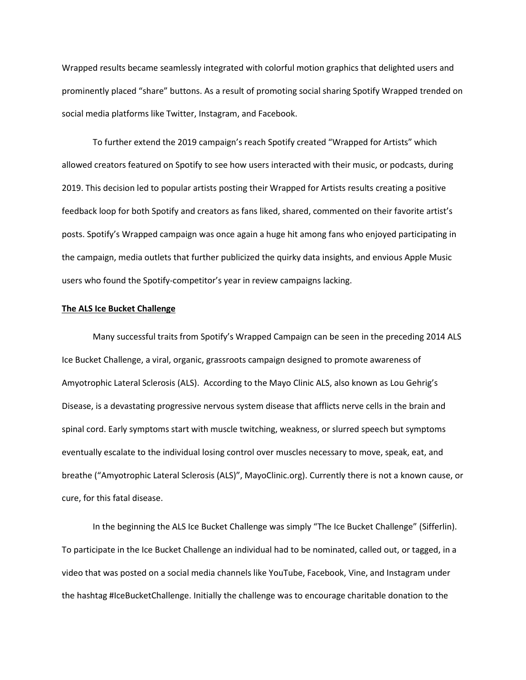Wrapped results became seamlessly integrated with colorful motion graphics that delighted users and prominently placed "share" buttons. As a result of promoting social sharing Spotify Wrapped trended on social media platforms like Twitter, Instagram, and Facebook.

To further extend the 2019 campaign's reach Spotify created "Wrapped for Artists" which allowed creators featured on Spotify to see how users interacted with their music, or podcasts, during 2019. This decision led to popular artists posting their Wrapped for Artists results creating a positive feedback loop for both Spotify and creators as fans liked, shared, commented on their favorite artist's posts. Spotify's Wrapped campaign was once again a huge hit among fans who enjoyed participating in the campaign, media outlets that further publicized the quirky data insights, and envious Apple Music users who found the Spotify-competitor's year in review campaigns lacking.

# **The ALS Ice Bucket Challenge**

Many successful traits from Spotify's Wrapped Campaign can be seen in the preceding 2014 ALS Ice Bucket Challenge, a viral, organic, grassroots campaign designed to promote awareness of Amyotrophic Lateral Sclerosis (ALS). According to the Mayo Clinic ALS, also known as Lou Gehrig's Disease, is a devastating progressive nervous system disease that afflicts nerve cells in the brain and spinal cord. Early symptoms start with muscle twitching, weakness, or slurred speech but symptoms eventually escalate to the individual losing control over muscles necessary to move, speak, eat, and breathe ("Amyotrophic Lateral Sclerosis (ALS)", MayoClinic.org). Currently there is not a known cause, or cure, for this fatal disease.

In the beginning the ALS Ice Bucket Challenge was simply "The Ice Bucket Challenge" (Sifferlin). To participate in the Ice Bucket Challenge an individual had to be nominated, called out, or tagged, in a video that was posted on a social media channels like YouTube, Facebook, Vine, and Instagram under the hashtag #IceBucketChallenge. Initially the challenge was to encourage charitable donation to the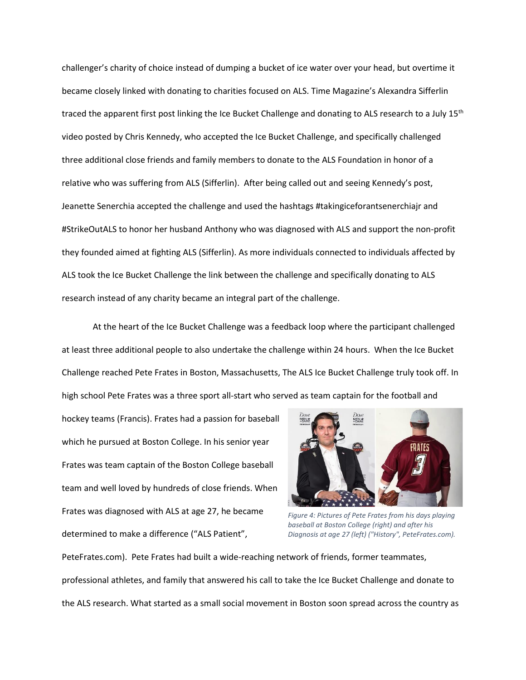challenger's charity of choice instead of dumping a bucket of ice water over your head, but overtime it became closely linked with donating to charities focused on ALS. Time Magazine's Alexandra Sifferlin traced the apparent first post linking the Ice Bucket Challenge and donating to ALS research to a July 15<sup>th</sup> video posted by Chris Kennedy, who accepted the Ice Bucket Challenge, and specifically challenged three additional close friends and family members to donate to the ALS Foundation in honor of a relative who was suffering from ALS (Sifferlin). After being called out and seeing Kennedy's post, Jeanette Senerchia accepted the challenge and used the hashtags #takingiceforantsenerchiajr and #StrikeOutALS to honor her husband Anthony who was diagnosed with ALS and support the non-profit they founded aimed at fighting ALS (Sifferlin). As more individuals connected to individuals affected by ALS took the Ice Bucket Challenge the link between the challenge and specifically donating to ALS research instead of any charity became an integral part of the challenge.

At the heart of the Ice Bucket Challenge was a feedback loop where the participant challenged at least three additional people to also undertake the challenge within 24 hours. When the Ice Bucket Challenge reached Pete Frates in Boston, Massachusetts, The ALS Ice Bucket Challenge truly took off. In high school Pete Frates was a three sport all-start who served as team captain for the football and

hockey teams (Francis). Frates had a passion for baseball which he pursued at Boston College. In his senior year Frates was team captain of the Boston College baseball team and well loved by hundreds of close friends. When Frates was diagnosed with ALS at age 27, he became determined to make a difference ("ALS Patient",



*Figure 4: Pictures of Pete Frates from his days playing baseball at Boston College (right) and after his Diagnosis at age 27 (left) ("History", PeteFrates.com).*

PeteFrates.com). Pete Frates had built a wide-reaching network of friends, former teammates, professional athletes, and family that answered his call to take the Ice Bucket Challenge and donate to the ALS research. What started as a small social movement in Boston soon spread across the country as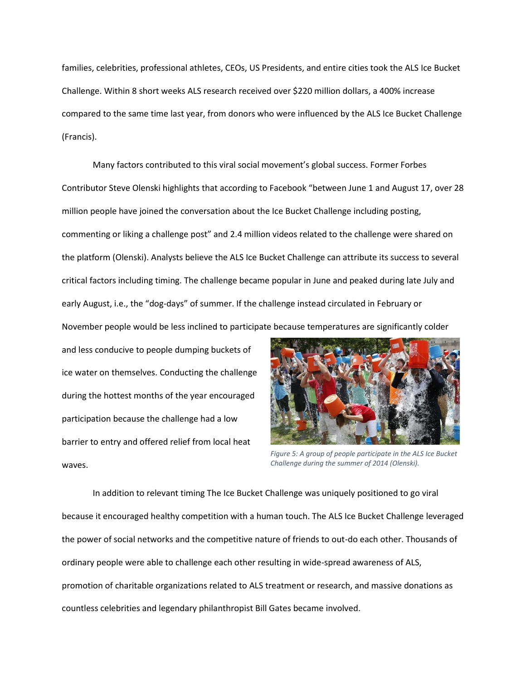families, celebrities, professional athletes, CEOs, US Presidents, and entire cities took the ALS Ice Bucket Challenge. Within 8 short weeks ALS research received over \$220 million dollars, a 400% increase compared to the same time last year, from donors who were influenced by the ALS Ice Bucket Challenge (Francis).

Many factors contributed to this viral social movement's global success. Former Forbes Contributor Steve Olenski highlights that according to Facebook "between June 1 and August 17, over 28 million people have joined the conversation about the Ice Bucket Challenge including posting, commenting or liking a challenge post" and 2.4 million videos related to the challenge were shared on the platform (Olenski). Analysts believe the ALS Ice Bucket Challenge can attribute its success to several critical factors including timing. The challenge became popular in June and peaked during late July and early August, i.e., the "dog-days" of summer. If the challenge instead circulated in February or

November people would be less inclined to participate because temperatures are significantly colder

and less conducive to people dumping buckets of ice water on themselves. Conducting the challenge during the hottest months of the year encouraged participation because the challenge had a low barrier to entry and offered relief from local heat waves.



*Figure 5: A group of people participate in the ALS Ice Bucket Challenge during the summer of 2014 (Olenski).*

In addition to relevant timing The Ice Bucket Challenge was uniquely positioned to go viral because it encouraged healthy competition with a human touch. The ALS Ice Bucket Challenge leveraged the power of social networks and the competitive nature of friends to out-do each other. Thousands of ordinary people were able to challenge each other resulting in wide-spread awareness of ALS, promotion of charitable organizations related to ALS treatment or research, and massive donations as countless celebrities and legendary philanthropist Bill Gates became involved.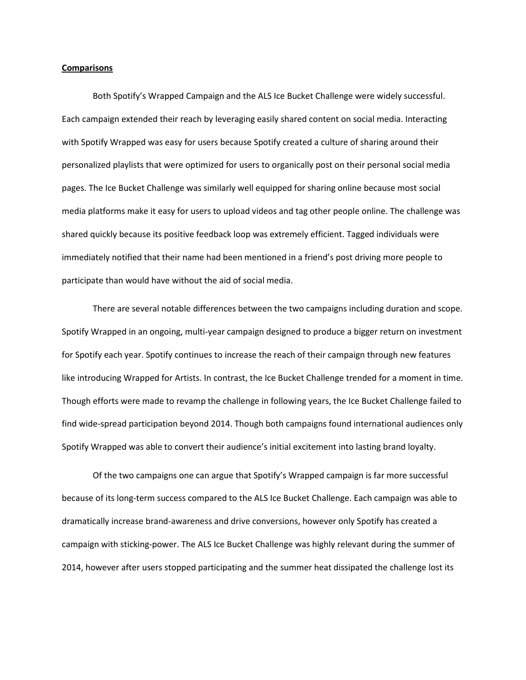### **Comparisons**

Both Spotify's Wrapped Campaign and the ALS Ice Bucket Challenge were widely successful. Each campaign extended their reach by leveraging easily shared content on social media. Interacting with Spotify Wrapped was easy for users because Spotify created a culture of sharing around their personalized playlists that were optimized for users to organically post on their personal social media pages. The Ice Bucket Challenge was similarly well equipped for sharing online because most social media platforms make it easy for users to upload videos and tag other people online. The challenge was shared quickly because its positive feedback loop was extremely efficient. Tagged individuals were immediately notified that their name had been mentioned in a friend's post driving more people to participate than would have without the aid of social media.

There are several notable differences between the two campaigns including duration and scope. Spotify Wrapped in an ongoing, multi-year campaign designed to produce a bigger return on investment for Spotify each year. Spotify continues to increase the reach of their campaign through new features like introducing Wrapped for Artists. In contrast, the Ice Bucket Challenge trended for a moment in time. Though efforts were made to revamp the challenge in following years, the Ice Bucket Challenge failed to find wide-spread participation beyond 2014. Though both campaigns found international audiences only Spotify Wrapped was able to convert their audience's initial excitement into lasting brand loyalty.

Of the two campaigns one can argue that Spotify's Wrapped campaign is far more successful because of its long-term success compared to the ALS Ice Bucket Challenge. Each campaign was able to dramatically increase brand-awareness and drive conversions, however only Spotify has created a campaign with sticking-power. The ALS Ice Bucket Challenge was highly relevant during the summer of 2014, however after users stopped participating and the summer heat dissipated the challenge lost its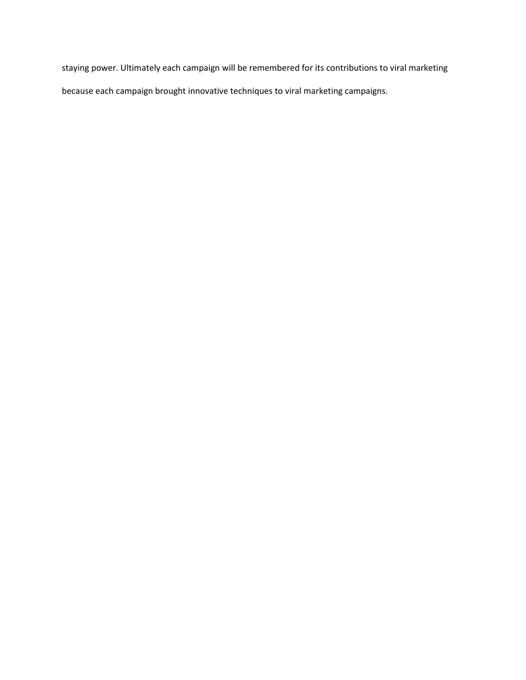staying power. Ultimately each campaign will be remembered for its contributions to viral marketing because each campaign brought innovative techniques to viral marketing campaigns.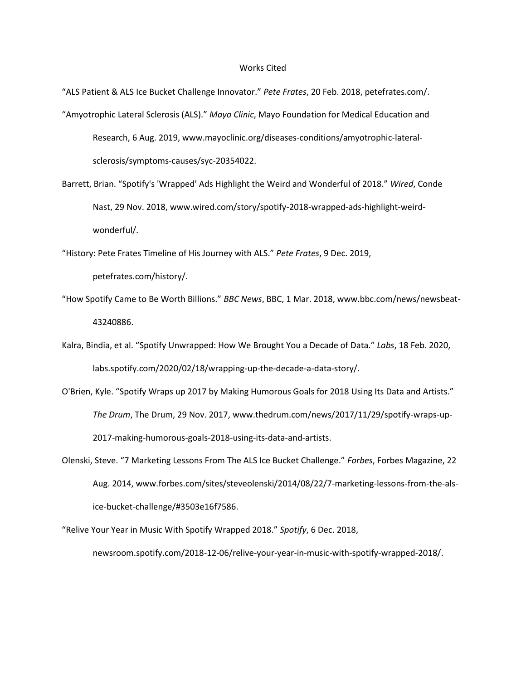## Works Cited

"ALS Patient & ALS Ice Bucket Challenge Innovator." *Pete Frates*, 20 Feb. 2018, petefrates.com/. "Amyotrophic Lateral Sclerosis (ALS)." *Mayo Clinic*, Mayo Foundation for Medical Education and Research, 6 Aug. 2019, www.mayoclinic.org/diseases-conditions/amyotrophic-lateralsclerosis/symptoms-causes/syc-20354022.

Barrett, Brian. "Spotify's 'Wrapped' Ads Highlight the Weird and Wonderful of 2018." *Wired*, Conde Nast, 29 Nov. 2018, www.wired.com/story/spotify-2018-wrapped-ads-highlight-weirdwonderful/.

"History: Pete Frates Timeline of His Journey with ALS." *Pete Frates*, 9 Dec. 2019,

petefrates.com/history/.

- "How Spotify Came to Be Worth Billions." *BBC News*, BBC, 1 Mar. 2018, www.bbc.com/news/newsbeat-43240886.
- Kalra, Bindia, et al. "Spotify Unwrapped: How We Brought You a Decade of Data." *Labs*, 18 Feb. 2020, labs.spotify.com/2020/02/18/wrapping-up-the-decade-a-data-story/.
- O'Brien, Kyle. "Spotify Wraps up 2017 by Making Humorous Goals for 2018 Using Its Data and Artists." *The Drum*, The Drum, 29 Nov. 2017, www.thedrum.com/news/2017/11/29/spotify-wraps-up-2017-making-humorous-goals-2018-using-its-data-and-artists.
- Olenski, Steve. "7 Marketing Lessons From The ALS Ice Bucket Challenge." *Forbes*, Forbes Magazine, 22 Aug. 2014, www.forbes.com/sites/steveolenski/2014/08/22/7-marketing-lessons-from-the-alsice-bucket-challenge/#3503e16f7586.

"Relive Your Year in Music With Spotify Wrapped 2018." *Spotify*, 6 Dec. 2018, newsroom.spotify.com/2018-12-06/relive-your-year-in-music-with-spotify-wrapped-2018/.